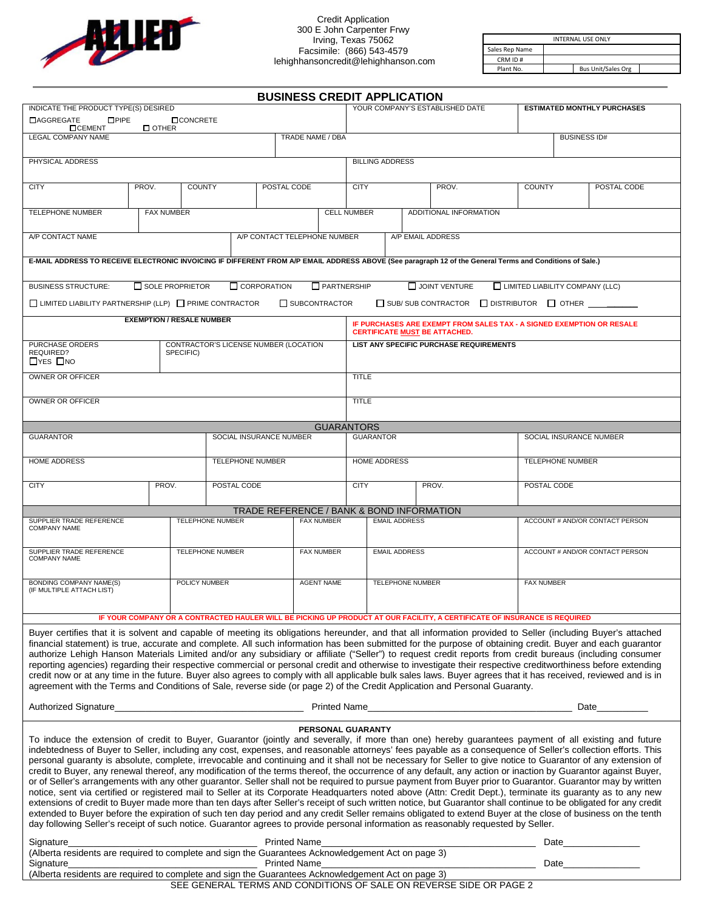

| <b>INTERNAL USE ONLY</b> |  |                           |  |  |  |  |
|--------------------------|--|---------------------------|--|--|--|--|
| Sales Rep Name           |  |                           |  |  |  |  |
| CRM ID#                  |  |                           |  |  |  |  |
| Plant No.                |  | <b>Bus Unit/Sales Org</b> |  |  |  |  |

|                                                                                                                                                                                                                                                                                                                                                                                                                                                                                                                                                                                                                                                                                                                                                                                                                                                                                                                                                                                                                                                                                                                                                                                                                                                                                                                                                                                                                                                                 |                                      |                                                    |  |  | <b>BUSINESS CREDIT APPLICATION</b>                      |                   |                                                |                                                                                                        |                         |  |                                                           |                                    |                                        |                         |  |
|-----------------------------------------------------------------------------------------------------------------------------------------------------------------------------------------------------------------------------------------------------------------------------------------------------------------------------------------------------------------------------------------------------------------------------------------------------------------------------------------------------------------------------------------------------------------------------------------------------------------------------------------------------------------------------------------------------------------------------------------------------------------------------------------------------------------------------------------------------------------------------------------------------------------------------------------------------------------------------------------------------------------------------------------------------------------------------------------------------------------------------------------------------------------------------------------------------------------------------------------------------------------------------------------------------------------------------------------------------------------------------------------------------------------------------------------------------------------|--------------------------------------|----------------------------------------------------|--|--|---------------------------------------------------------|-------------------|------------------------------------------------|--------------------------------------------------------------------------------------------------------|-------------------------|--|-----------------------------------------------------------|------------------------------------|----------------------------------------|-------------------------|--|
|                                                                                                                                                                                                                                                                                                                                                                                                                                                                                                                                                                                                                                                                                                                                                                                                                                                                                                                                                                                                                                                                                                                                                                                                                                                                                                                                                                                                                                                                 | INDICATE THE PRODUCT TYPE(S) DESIRED |                                                    |  |  |                                                         |                   | YOUR COMPANY'S ESTABLISHED DATE                |                                                                                                        |                         |  |                                                           | <b>ESTIMATED MONTHLY PURCHASES</b> |                                        |                         |  |
| <b>LAGGREGATE</b><br><b>OPIPE</b><br><b>OCEMENT</b>                                                                                                                                                                                                                                                                                                                                                                                                                                                                                                                                                                                                                                                                                                                                                                                                                                                                                                                                                                                                                                                                                                                                                                                                                                                                                                                                                                                                             | $\Box$ OTHER                         | <b>OCONCRETE</b>                                   |  |  |                                                         |                   |                                                |                                                                                                        |                         |  |                                                           |                                    |                                        |                         |  |
| <b>LEGAL COMPANY NAME</b>                                                                                                                                                                                                                                                                                                                                                                                                                                                                                                                                                                                                                                                                                                                                                                                                                                                                                                                                                                                                                                                                                                                                                                                                                                                                                                                                                                                                                                       |                                      | TRADE NAME / DBA                                   |  |  |                                                         |                   |                                                |                                                                                                        |                         |  | <b>BUSINESS ID#</b>                                       |                                    |                                        |                         |  |
| PHYSICAL ADDRESS                                                                                                                                                                                                                                                                                                                                                                                                                                                                                                                                                                                                                                                                                                                                                                                                                                                                                                                                                                                                                                                                                                                                                                                                                                                                                                                                                                                                                                                |                                      |                                                    |  |  |                                                         |                   |                                                |                                                                                                        | <b>BILLING ADDRESS</b>  |  |                                                           |                                    |                                        |                         |  |
| <b>CITY</b>                                                                                                                                                                                                                                                                                                                                                                                                                                                                                                                                                                                                                                                                                                                                                                                                                                                                                                                                                                                                                                                                                                                                                                                                                                                                                                                                                                                                                                                     | PROV.                                | <b>COUNTY</b>                                      |  |  | POSTAL CODE                                             |                   |                                                | <b>CITY</b>                                                                                            |                         |  | PROV.                                                     | <b>COUNTY</b>                      |                                        | POSTAL CODE             |  |
| <b>TELEPHONE NUMBER</b>                                                                                                                                                                                                                                                                                                                                                                                                                                                                                                                                                                                                                                                                                                                                                                                                                                                                                                                                                                                                                                                                                                                                                                                                                                                                                                                                                                                                                                         | <b>FAX NUMBER</b>                    |                                                    |  |  |                                                         |                   | <b>CELL NUMBER</b><br>ADDITIONAL INFORMATION   |                                                                                                        |                         |  |                                                           |                                    |                                        |                         |  |
| A/P CONTACT TELEPHONE NUMBER<br>A/P CONTACT NAME                                                                                                                                                                                                                                                                                                                                                                                                                                                                                                                                                                                                                                                                                                                                                                                                                                                                                                                                                                                                                                                                                                                                                                                                                                                                                                                                                                                                                |                                      |                                                    |  |  |                                                         | A/P EMAIL ADDRESS |                                                |                                                                                                        |                         |  |                                                           |                                    |                                        |                         |  |
| E-MAIL ADDRESS TO RECEIVE ELECTRONIC INVOICING IF DIFFERENT FROM A/P EMAIL ADDRESS ABOVE (See paragraph 12 of the General Terms and Conditions of Sale.)                                                                                                                                                                                                                                                                                                                                                                                                                                                                                                                                                                                                                                                                                                                                                                                                                                                                                                                                                                                                                                                                                                                                                                                                                                                                                                        |                                      |                                                    |  |  |                                                         |                   |                                                |                                                                                                        |                         |  |                                                           |                                    |                                        |                         |  |
|                                                                                                                                                                                                                                                                                                                                                                                                                                                                                                                                                                                                                                                                                                                                                                                                                                                                                                                                                                                                                                                                                                                                                                                                                                                                                                                                                                                                                                                                 |                                      |                                                    |  |  |                                                         |                   |                                                |                                                                                                        |                         |  |                                                           |                                    |                                        |                         |  |
| <b>BUSINESS STRUCTURE:</b>                                                                                                                                                                                                                                                                                                                                                                                                                                                                                                                                                                                                                                                                                                                                                                                                                                                                                                                                                                                                                                                                                                                                                                                                                                                                                                                                                                                                                                      | $\Box$ SOLE PROPRIETOR               |                                                    |  |  | $\Box$ CORPORATION                                      |                   | $\Box$ PARTNERSHIP                             |                                                                                                        |                         |  | $\Box$ JOINT VENTURE                                      |                                    | $\Box$ LIMITED LIABILITY COMPANY (LLC) |                         |  |
| $\Box$ LIMITED LIABILITY PARTNERSHIP (LLP) $\Box$ PRIME CONTRACTOR                                                                                                                                                                                                                                                                                                                                                                                                                                                                                                                                                                                                                                                                                                                                                                                                                                                                                                                                                                                                                                                                                                                                                                                                                                                                                                                                                                                              | <b>EXEMPTION / RESALE NUMBER</b>     |                                                    |  |  |                                                         | SUBCONTRACTOR     |                                                |                                                                                                        |                         |  | $\Box$ SUB/SUB CONTRACTOR $\Box$ DISTRIBUTOR $\Box$ OTHER |                                    |                                        |                         |  |
|                                                                                                                                                                                                                                                                                                                                                                                                                                                                                                                                                                                                                                                                                                                                                                                                                                                                                                                                                                                                                                                                                                                                                                                                                                                                                                                                                                                                                                                                 |                                      |                                                    |  |  |                                                         |                   |                                                | IF PURCHASES ARE EXEMPT FROM SALES TAX - A SIGNED EXEMPTION OR RESALE<br>CERTIFICATE MUST BE ATTACHED. |                         |  |                                                           |                                    |                                        |                         |  |
| PURCHASE ORDERS<br>REQUIRED?<br>$\Box$ YES $\Box$ NO                                                                                                                                                                                                                                                                                                                                                                                                                                                                                                                                                                                                                                                                                                                                                                                                                                                                                                                                                                                                                                                                                                                                                                                                                                                                                                                                                                                                            |                                      | CONTRACTOR'S LICENSE NUMBER (LOCATION<br>SPECIFIC) |  |  |                                                         |                   | <b>LIST ANY SPECIFIC PURCHASE REQUIREMENTS</b> |                                                                                                        |                         |  |                                                           |                                    |                                        |                         |  |
| OWNER OR OFFICER                                                                                                                                                                                                                                                                                                                                                                                                                                                                                                                                                                                                                                                                                                                                                                                                                                                                                                                                                                                                                                                                                                                                                                                                                                                                                                                                                                                                                                                |                                      |                                                    |  |  |                                                         | <b>TITLE</b>      |                                                |                                                                                                        |                         |  |                                                           |                                    |                                        |                         |  |
| OWNER OR OFFICER                                                                                                                                                                                                                                                                                                                                                                                                                                                                                                                                                                                                                                                                                                                                                                                                                                                                                                                                                                                                                                                                                                                                                                                                                                                                                                                                                                                                                                                |                                      |                                                    |  |  |                                                         |                   |                                                | <b>TITLE</b>                                                                                           |                         |  |                                                           |                                    |                                        |                         |  |
|                                                                                                                                                                                                                                                                                                                                                                                                                                                                                                                                                                                                                                                                                                                                                                                                                                                                                                                                                                                                                                                                                                                                                                                                                                                                                                                                                                                                                                                                 |                                      |                                                    |  |  |                                                         |                   | <b>GUARANTORS</b>                              |                                                                                                        |                         |  |                                                           |                                    |                                        |                         |  |
| <b>GUARANTOR</b>                                                                                                                                                                                                                                                                                                                                                                                                                                                                                                                                                                                                                                                                                                                                                                                                                                                                                                                                                                                                                                                                                                                                                                                                                                                                                                                                                                                                                                                |                                      |                                                    |  |  | SOCIAL INSURANCE NUMBER                                 |                   |                                                |                                                                                                        | <b>GUARANTOR</b>        |  |                                                           |                                    |                                        | SOCIAL INSURANCE NUMBER |  |
| <b>HOME ADDRESS</b><br><b>TELEPHONE NUMBER</b>                                                                                                                                                                                                                                                                                                                                                                                                                                                                                                                                                                                                                                                                                                                                                                                                                                                                                                                                                                                                                                                                                                                                                                                                                                                                                                                                                                                                                  |                                      |                                                    |  |  |                                                         |                   | <b>HOME ADDRESS</b>                            |                                                                                                        |                         |  | <b>TELEPHONE NUMBER</b>                                   |                                    |                                        |                         |  |
| <b>CITY</b>                                                                                                                                                                                                                                                                                                                                                                                                                                                                                                                                                                                                                                                                                                                                                                                                                                                                                                                                                                                                                                                                                                                                                                                                                                                                                                                                                                                                                                                     |                                      | PROV.<br>POSTAL CODE                               |  |  |                                                         |                   |                                                | <b>CITY</b>                                                                                            | PROV.                   |  | POSTAL CODE                                               |                                    |                                        |                         |  |
|                                                                                                                                                                                                                                                                                                                                                                                                                                                                                                                                                                                                                                                                                                                                                                                                                                                                                                                                                                                                                                                                                                                                                                                                                                                                                                                                                                                                                                                                 |                                      |                                                    |  |  |                                                         |                   |                                                |                                                                                                        |                         |  |                                                           |                                    |                                        |                         |  |
| TRADE REFERENCE / BANK & BOND INFORMATION<br>SUPPLIER TRADE REFERENCE<br><b>TELEPHONE NUMBER</b><br><b>FAX NUMBER</b><br><b>COMPANY NAME</b>                                                                                                                                                                                                                                                                                                                                                                                                                                                                                                                                                                                                                                                                                                                                                                                                                                                                                                                                                                                                                                                                                                                                                                                                                                                                                                                    |                                      |                                                    |  |  | <b>EMAIL ADDRESS</b><br>ACCOUNT # AND/OR CONTACT PERSON |                   |                                                |                                                                                                        |                         |  |                                                           |                                    |                                        |                         |  |
| SUPPLIER TRADE REFERENCE<br><b>COMPANY NAME</b>                                                                                                                                                                                                                                                                                                                                                                                                                                                                                                                                                                                                                                                                                                                                                                                                                                                                                                                                                                                                                                                                                                                                                                                                                                                                                                                                                                                                                 |                                      | TELEPHONE NUMBER                                   |  |  |                                                         | <b>FAX NUMBER</b> |                                                | <b>EMAIL ADDRESS</b>                                                                                   |                         |  |                                                           | ACCOUNT # AND/OR CONTACT PERSON    |                                        |                         |  |
| <b>BONDING COMPANY NAME(S)</b><br>POLICY NUMBER<br>(IF MULTIPLE ATTACH LIST)                                                                                                                                                                                                                                                                                                                                                                                                                                                                                                                                                                                                                                                                                                                                                                                                                                                                                                                                                                                                                                                                                                                                                                                                                                                                                                                                                                                    |                                      |                                                    |  |  |                                                         |                   | <b>AGENT NAME</b>                              |                                                                                                        | <b>TELEPHONE NUMBER</b> |  |                                                           |                                    | <b>FAX NUMBER</b>                      |                         |  |
| IF YOUR COMPANY OR A CONTRACTED HAULER WILL BE PICKING UP PRODUCT AT OUR FACILITY, A CERTIFICATE OF INSURANCE IS REQUIRED                                                                                                                                                                                                                                                                                                                                                                                                                                                                                                                                                                                                                                                                                                                                                                                                                                                                                                                                                                                                                                                                                                                                                                                                                                                                                                                                       |                                      |                                                    |  |  |                                                         |                   |                                                |                                                                                                        |                         |  |                                                           |                                    |                                        |                         |  |
| Buyer certifies that it is solvent and capable of meeting its obligations hereunder, and that all information provided to Seller (including Buyer's attached<br>financial statement) is true, accurate and complete. All such information has been submitted for the purpose of obtaining credit. Buyer and each guarantor<br>authorize Lehigh Hanson Materials Limited and/or any subsidiary or affiliate ("Seller") to request credit reports from credit bureaus (including consumer<br>reporting agencies) regarding their respective commercial or personal credit and otherwise to investigate their respective creditworthiness before extending<br>credit now or at any time in the future. Buyer also agrees to comply with all applicable bulk sales laws. Buyer agrees that it has received, reviewed and is in<br>agreement with the Terms and Conditions of Sale, reverse side (or page 2) of the Credit Application and Personal Guaranty.                                                                                                                                                                                                                                                                                                                                                                                                                                                                                                        |                                      |                                                    |  |  |                                                         |                   |                                                |                                                                                                        |                         |  |                                                           |                                    |                                        |                         |  |
| <u>Denomination of the contract of the contract of the contract of the contract of the contract of the contract of the contract of the contract of the contract of the contract of the contract of the contract of the contract </u><br>Authorized Signature                                                                                                                                                                                                                                                                                                                                                                                                                                                                                                                                                                                                                                                                                                                                                                                                                                                                                                                                                                                                                                                                                                                                                                                                    |                                      |                                                    |  |  | Date                                                    |                   |                                                |                                                                                                        |                         |  |                                                           |                                    |                                        |                         |  |
| To induce the extension of credit to Buyer, Guarantor (jointly and severally, if more than one) hereby guarantees payment of all existing and future<br>indebtedness of Buyer to Seller, including any cost, expenses, and reasonable attorneys' fees payable as a consequence of Seller's collection efforts. This<br>personal guaranty is absolute, complete, irrevocable and continuing and it shall not be necessary for Seller to give notice to Guarantor of any extension of<br>credit to Buyer, any renewal thereof, any modification of the terms thereof, the occurrence of any default, any action or inaction by Guarantor against Buyer,<br>or of Seller's arrangements with any other guarantor. Seller shall not be required to pursue payment from Buyer prior to Guarantor. Guarantor may by written<br>notice, sent via certified or registered mail to Seller at its Corporate Headquarters noted above (Attn: Credit Dept.), terminate its guaranty as to any new<br>extensions of credit to Buyer made more than ten days after Seller's receipt of such written notice, but Guarantor shall continue to be obligated for any credit<br>extended to Buyer before the expiration of such ten day period and any credit Seller remains obligated to extend Buyer at the close of business on the tenth<br>day following Seller's receipt of such notice. Guarantor agrees to provide personal information as reasonably requested by Seller. |                                      |                                                    |  |  |                                                         |                   | PERSONAL GUARANTY                              |                                                                                                        |                         |  |                                                           |                                    | Date                                   |                         |  |
| Signature<br>(Alberta residents are required to complete and sign the Guarantees Acknowledgement Act on page 3)<br><b>Printed Name</b><br>Signature<br>Date and the state of the state of the state of the state of the state of the state of the state of the state o<br>(Alberta residents are required to complete and sign the Guarantees Acknowledgement Act on page 3)                                                                                                                                                                                                                                                                                                                                                                                                                                                                                                                                                                                                                                                                                                                                                                                                                                                                                                                                                                                                                                                                                    |                                      |                                                    |  |  |                                                         |                   |                                                |                                                                                                        |                         |  |                                                           |                                    |                                        |                         |  |

SEE GENERAL TERMS AND CONDITIONS OF SALE ON REVERSE SIDE OR PAGE 2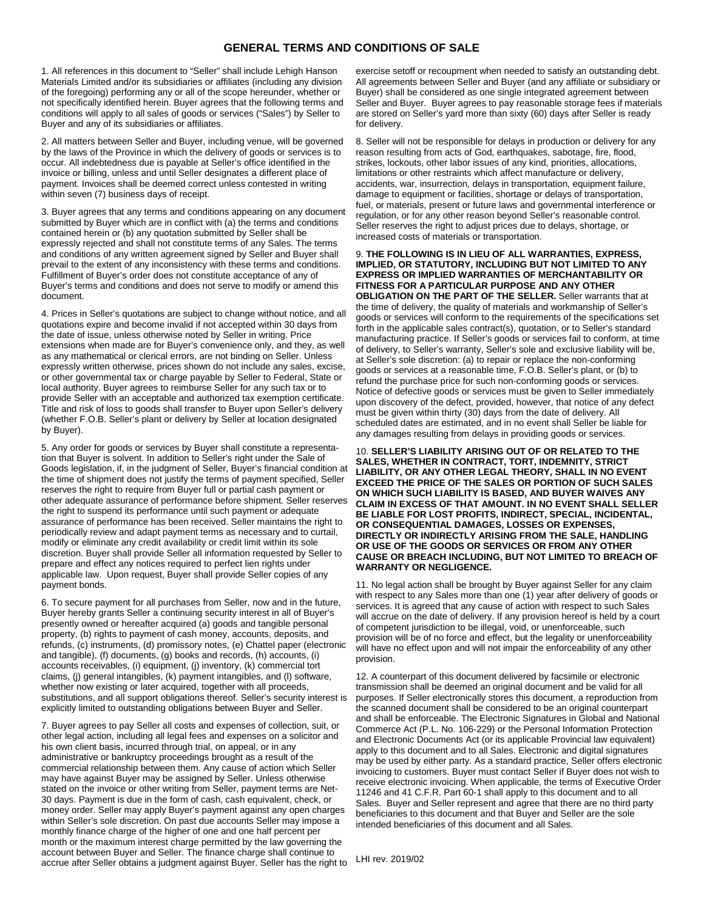### **GENERAL TERMS AND CONDITIONS OF SALE**

1. All references in this document to "Seller" shall include Lehigh Hanson Materials Limited and/or its subsidiaries or affiliates (including any division of the foregoing) performing any or all of the scope hereunder, whether or not specifically identified herein. Buyer agrees that the following terms and conditions will apply to all sales of goods or services ("Sales") by Seller to Buyer and any of its subsidiaries or affiliates.

2. All matters between Seller and Buyer, including venue, will be governed by the laws of the Province in which the delivery of goods or services is to occur. All indebtedness due is payable at Seller's office identified in the invoice or billing, unless and until Seller designates a different place of payment. Invoices shall be deemed correct unless contested in writing within seven (7) business days of receipt.

3. Buyer agrees that any terms and conditions appearing on any document submitted by Buyer which are in conflict with (a) the terms and conditions contained herein or (b) any quotation submitted by Seller shall be expressly rejected and shall not constitute terms of any Sales. The terms and conditions of any written agreement signed by Seller and Buyer shall prevail to the extent of any inconsistency with these terms and conditions. Fulfillment of Buyer's order does not constitute acceptance of any of Buyer's terms and conditions and does not serve to modify or amend this document.

4. Prices in Seller's quotations are subject to change without notice, and all quotations expire and become invalid if not accepted within 30 days from the date of issue, unless otherwise noted by Seller in writing. Price extensions when made are for Buyer's convenience only, and they, as well as any mathematical or clerical errors, are not binding on Seller. Unless expressly written otherwise, prices shown do not include any sales, excise, or other governmental tax or charge payable by Seller to Federal, State or local authority. Buyer agrees to reimburse Seller for any such tax or to provide Seller with an acceptable and authorized tax exemption certificate. Title and risk of loss to goods shall transfer to Buyer upon Seller's delivery (whether F.O.B. Seller's plant or delivery by Seller at location designated by Buyer).

5. Any order for goods or services by Buyer shall constitute a representation that Buyer is solvent. In addition to Seller's right under the Sale of Goods legislation, if, in the judgment of Seller, Buyer's financial condition at the time of shipment does not justify the terms of payment specified, Seller reserves the right to require from Buyer full or partial cash payment or other adequate assurance of performance before shipment. Seller reserves the right to suspend its performance until such payment or adequate assurance of performance has been received. Seller maintains the right to periodically review and adapt payment terms as necessary and to curtail, modify or eliminate any credit availability or credit limit within its sole discretion. Buyer shall provide Seller all information requested by Seller to prepare and effect any notices required to perfect lien rights under applicable law. Upon request, Buyer shall provide Seller copies of any payment bonds.

6. To secure payment for all purchases from Seller, now and in the future, Buyer hereby grants Seller a continuing security interest in all of Buyer's presently owned or hereafter acquired (a) goods and tangible personal property, (b) rights to payment of cash money, accounts, deposits, and refunds, (c) instruments, (d) promissory notes, (e) Chattel paper (electronic and tangible), (f) documents, (g) books and records, (h) accounts, (i) accounts receivables, (i) equipment, (j) inventory, (k) commercial tort claims, (j) general intangibles, (k) payment intangibles, and (l) software, whether now existing or later acquired, together with all proceeds, substitutions, and all support obligations thereof. Seller's security interest is explicitly limited to outstanding obligations between Buyer and Seller.

7. Buyer agrees to pay Seller all costs and expenses of collection, suit, or other legal action, including all legal fees and expenses on a solicitor and his own client basis, incurred through trial, on appeal, or in any administrative or bankruptcy proceedings brought as a result of the commercial relationship between them. Any cause of action which Seller may have against Buyer may be assigned by Seller. Unless otherwise stated on the invoice or other writing from Seller, payment terms are Net-30 days. Payment is due in the form of cash, cash equivalent, check, or money order. Seller may apply Buyer's payment against any open charges within Seller's sole discretion. On past due accounts Seller may impose a monthly finance charge of the higher of one and one half percent per month or the maximum interest charge permitted by the law governing the account between Buyer and Seller. The finance charge shall continue to accrue after Seller obtains a judgment against Buyer. Seller has the right to

exercise setoff or recoupment when needed to satisfy an outstanding debt. All agreements between Seller and Buyer (and any affiliate or subsidiary or Buyer) shall be considered as one single integrated agreement between Seller and Buyer. Buyer agrees to pay reasonable storage fees if materials are stored on Seller's yard more than sixty (60) days after Seller is ready for delivery.

8. Seller will not be responsible for delays in production or delivery for any reason resulting from acts of God, earthquakes, sabotage, fire, flood, strikes, lockouts, other labor issues of any kind, priorities, allocations, limitations or other restraints which affect manufacture or delivery, accidents, war, insurrection, delays in transportation, equipment failure, damage to equipment or facilities, shortage or delays of transportation, fuel, or materials, present or future laws and governmental interference or regulation, or for any other reason beyond Seller's reasonable control. Seller reserves the right to adjust prices due to delays, shortage, or increased costs of materials or transportation.

#### 9. **THE FOLLOWING IS IN LIEU OF ALL WARRANTIES, EXPRESS, IMPLIED, OR STATUTORY, INCLUDING BUT NOT LIMITED TO ANY EXPRESS OR IMPLIED WARRANTIES OF MERCHANTABILITY OR FITNESS FOR A PARTICULAR PURPOSE AND ANY OTHER**

**OBLIGATION ON THE PART OF THE SELLER.** Seller warrants that at the time of delivery, the quality of materials and workmanship of Seller's goods or services will conform to the requirements of the specifications set forth in the applicable sales contract(s), quotation, or to Seller's standard manufacturing practice. If Seller's goods or services fail to conform, at time of delivery, to Seller's warranty, Seller's sole and exclusive liability will be, at Seller's sole discretion: (a) to repair or replace the non-conforming goods or services at a reasonable time, F.O.B. Seller's plant, or (b) to refund the purchase price for such non-conforming goods or services. Notice of defective goods or services must be given to Seller immediately upon discovery of the defect, provided, however, that notice of any defect must be given within thirty (30) days from the date of delivery. All scheduled dates are estimated, and in no event shall Seller be liable for any damages resulting from delays in providing goods or services.

10. **SELLER'S LIABILITY ARISING OUT OF OR RELATED TO THE SALES, WHETHER IN CONTRACT, TORT, INDEMNITY, STRICT LIABILITY, OR ANY OTHER LEGAL THEORY, SHALL IN NO EVENT EXCEED THE PRICE OF THE SALES OR PORTION OF SUCH SALES ON WHICH SUCH LIABILITY IS BASED, AND BUYER WAIVES ANY CLAIM IN EXCESS OF THAT AMOUNT. IN NO EVENT SHALL SELLER BE LIABLE FOR LOST PROFITS, INDIRECT, SPECIAL, INCIDENTAL, OR CONSEQUENTIAL DAMAGES, LOSSES OR EXPENSES, DIRECTLY OR INDIRECTLY ARISING FROM THE SALE, HANDLING OR USE OF THE GOODS OR SERVICES OR FROM ANY OTHER CAUSE OR BREACH INCLUDING, BUT NOT LIMITED TO BREACH OF WARRANTY OR NEGLIGENCE.**

11. No legal action shall be brought by Buyer against Seller for any claim with respect to any Sales more than one (1) year after delivery of goods or services. It is agreed that any cause of action with respect to such Sales will accrue on the date of delivery. If any provision hereof is held by a court of competent jurisdiction to be illegal, void, or unenforceable, such provision will be of no force and effect, but the legality or unenforceability will have no effect upon and will not impair the enforceability of any other provision.

12. A counterpart of this document delivered by facsimile or electronic transmission shall be deemed an original document and be valid for all purposes. If Seller electronically stores this document, a reproduction from the scanned document shall be considered to be an original counterpart and shall be enforceable. The Electronic Signatures in Global and National Commerce Act (P.L. No. 106-229) or the Personal Information Protection and Electronic Documents Act (or its applicable Provincial law equivalent) apply to this document and to all Sales. Electronic and digital signatures may be used by either party. As a standard practice, Seller offers electronic invoicing to customers. Buyer must contact Seller if Buyer does not wish to receive electronic invoicing. When applicable, the terms of Executive Order 11246 and 41 C.F.R. Part 60-1 shall apply to this document and to all Sales. Buyer and Seller represent and agree that there are no third party beneficiaries to this document and that Buyer and Seller are the sole intended beneficiaries of this document and all Sales.

LHI rev. 2019/02